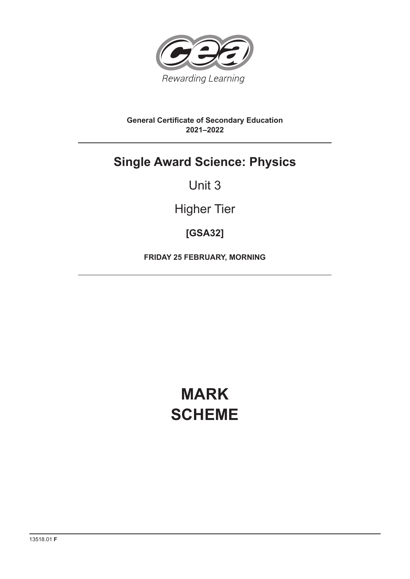

### **General Certificate of Secondary Education 2021–2022**

# **Single Award Science: Physics**

## Unit 3

# Higher Tier

### **[GSA32]**

**FRIDAY 25 FEBRUARY, MORNING**

# **MARK SCHEME**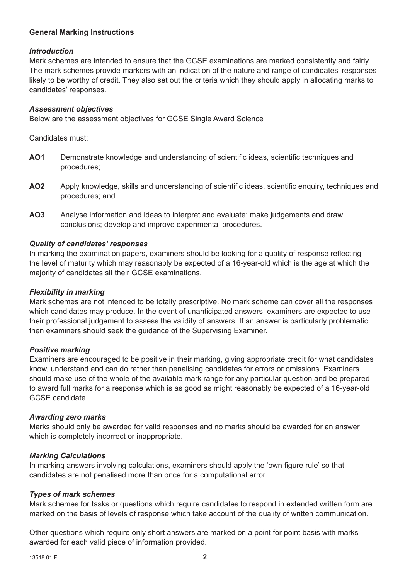#### **General Marking Instructions**

#### *Introduction*

Mark schemes are intended to ensure that the GCSE examinations are marked consistently and fairly. The mark schemes provide markers with an indication of the nature and range of candidates' responses likely to be worthy of credit. They also set out the criteria which they should apply in allocating marks to candidates' responses.

#### *Assessment objectives*

Below are the assessment objectives for GCSE Single Award Science

Candidates must:

- AO1 Demonstrate knowledge and understanding of scientific ideas, scientific techniques and procedures;
- AO2 Apply knowledge, skills and understanding of scientific ideas, scientific enquiry, techniques and procedures; and
- **AO3** Analyse information and ideas to interpret and evaluate; make judgements and draw conclusions; develop and improve experimental procedures.

#### *Quality of candidates' responses*

In marking the examination papers, examiners should be looking for a quality of response reflecting the level of maturity which may reasonably be expected of a 16-year-old which is the age at which the majority of candidates sit their GCSE examinations.

#### *Flexibility in marking*

Mark schemes are not intended to be totally prescriptive. No mark scheme can cover all the responses which candidates may produce. In the event of unanticipated answers, examiners are expected to use their professional judgement to assess the validity of answers. If an answer is particularly problematic, then examiners should seek the guidance of the Supervising Examiner.

#### *Positive marking*

Examiners are encouraged to be positive in their marking, giving appropriate credit for what candidates know, understand and can do rather than penalising candidates for errors or omissions. Examiners should make use of the whole of the available mark range for any particular question and be prepared to award full marks for a response which is as good as might reasonably be expected of a 16-year-old GCSE candidate.

#### *Awarding zero marks*

Marks should only be awarded for valid responses and no marks should be awarded for an answer which is completely incorrect or inappropriate.

#### *Marking Calculations*

In marking answers involving calculations, examiners should apply the 'own figure rule' so that candidates are not penalised more than once for a computational error.

#### *Types of mark schemes*

Mark schemes for tasks or questions which require candidates to respond in extended written form are marked on the basis of levels of response which take account of the quality of written communication.

Other questions which require only short answers are marked on a point for point basis with marks awarded for each valid piece of information provided.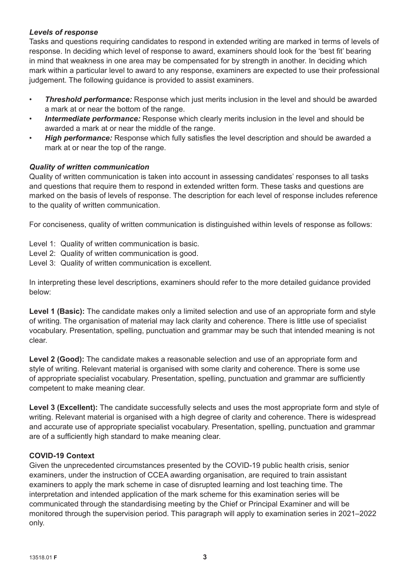### *Levels of response*

Tasks and questions requiring candidates to respond in extended writing are marked in terms of levels of response. In deciding which level of response to award, examiners should look for the 'best fit' bearing in mind that weakness in one area may be compensated for by strength in another. In deciding which mark within a particular level to award to any response, examiners are expected to use their professional judgement. The following guidance is provided to assist examiners.

- *Threshold performance:* Response which just merits inclusion in the level and should be awarded a mark at or near the bottom of the range.
- **Intermediate performance:** Response which clearly merits inclusion in the level and should be awarded a mark at or near the middle of the range.
- **High performance:** Response which fully satisfies the level description and should be awarded a mark at or near the top of the range.

#### *Quality of written communication*

Quality of written communication is taken into account in assessing candidates' responses to all tasks and questions that require them to respond in extended written form. These tasks and questions are marked on the basis of levels of response. The description for each level of response includes reference to the quality of written communication.

For conciseness, quality of written communication is distinguished within levels of response as follows:

- Level 1: Quality of written communication is basic.
- Level 2: Quality of written communication is good.
- Level 3: Quality of written communication is excellent.

In interpreting these level descriptions, examiners should refer to the more detailed guidance provided below:

Level 1 (Basic): The candidate makes only a limited selection and use of an appropriate form and style of writing. The organisation of material may lack clarity and coherence. There is little use of specialist vocabulary. Presentation, spelling, punctuation and grammar may be such that intended meaning is not clear.

**Level 2 (Good):** The candidate makes a reasonable selection and use of an appropriate form and style of writing. Relevant material is organised with some clarity and coherence. There is some use of appropriate specialist vocabulary. Presentation, spelling, punctuation and grammar are sufficiently competent to make meaning clear.

Level 3 (Excellent): The candidate successfully selects and uses the most appropriate form and style of writing. Relevant material is organised with a high degree of clarity and coherence. There is widespread and accurate use of appropriate specialist vocabulary. Presentation, spelling, punctuation and grammar are of a sufficiently high standard to make meaning clear.

#### **COVID-19 Context**

Given the unprecedented circumstances presented by the COVID-19 public health crisis, senior examiners, under the instruction of CCEA awarding organisation, are required to train assistant examiners to apply the mark scheme in case of disrupted learning and lost teaching time. The interpretation and intended application of the mark scheme for this examination series will be communicated through the standardising meeting by the Chief or Principal Examiner and will be monitored through the supervision period. This paragraph will apply to examination series in 2021–2022 only.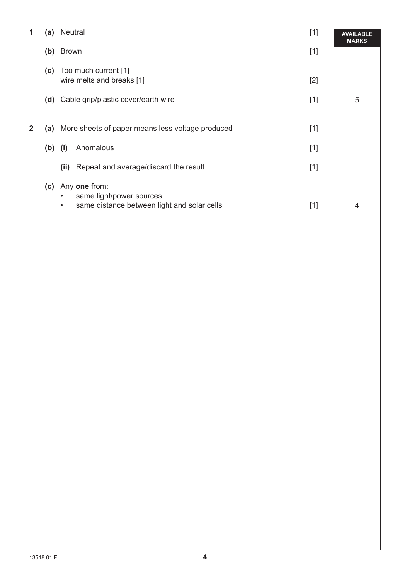| 1            | (a) | Neutral                                                                                                            | $[1]$ | <b>AVAILABLE</b><br><b>MARKS</b> |
|--------------|-----|--------------------------------------------------------------------------------------------------------------------|-------|----------------------------------|
|              | (b) | <b>Brown</b>                                                                                                       | $[1]$ |                                  |
|              | (c) | Too much current [1]<br>wire melts and breaks [1]                                                                  | $[2]$ |                                  |
|              | (d) | Cable grip/plastic cover/earth wire                                                                                | $[1]$ | 5                                |
| $\mathbf{2}$ |     | (a) More sheets of paper means less voltage produced                                                               | $[1]$ |                                  |
|              | (b) | Anomalous<br>(i)                                                                                                   | $[1]$ |                                  |
|              |     | Repeat and average/discard the result<br>(ii)                                                                      | $[1]$ |                                  |
|              | (c) | Any one from:<br>same light/power sources<br>$\bullet$<br>same distance between light and solar cells<br>$\bullet$ | $[1]$ | 4                                |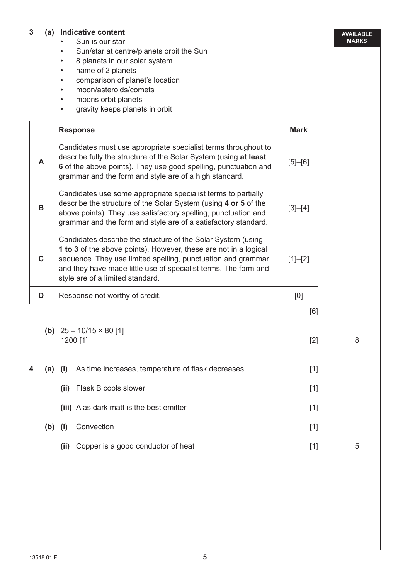#### **3 (a) Indicative content**

- Sun is our star
- Sun/star at centre/planets orbit the Sun
- 8 planets in our solar system
- name of 2 planets
- comparison of planet's location
- moon/asteroids/comets
- moons orbit planets
- gravity keeps planets in orbit

|    | <b>Response</b>                                                                                                                                                                                                                                                                                         | <b>Mark</b>   |
|----|---------------------------------------------------------------------------------------------------------------------------------------------------------------------------------------------------------------------------------------------------------------------------------------------------------|---------------|
| A  | Candidates must use appropriate specialist terms throughout to<br>describe fully the structure of the Solar System (using at least<br>6 of the above points). They use good spelling, punctuation and<br>grammar and the form and style are of a high standard.                                         | $[5]$ - $[6]$ |
| B  | Candidates use some appropriate specialist terms to partially<br>describe the structure of the Solar System (using 4 or 5 of the<br>above points). They use satisfactory spelling, punctuation and<br>grammar and the form and style are of a satisfactory standard.                                    | [3]–[4]       |
| C. | Candidates describe the structure of the Solar System (using<br>1 to 3 of the above points). However, these are not in a logical<br>sequence. They use limited spelling, punctuation and grammar<br>and they have made little use of specialist terms. The form and<br>style are of a limited standard. | $[1]-[2]$     |
| D  | Response not worthy of credit.                                                                                                                                                                                                                                                                          | [0]           |
|    |                                                                                                                                                                                                                                                                                                         | [6]           |

- **(b)**  $25 10/15 \times 80$  [1] 1200 [1] [2]
- **4** (a) (i) As time increases, temperature of flask decreases [1] **(ii)** Flask B cools slower [1] **(iii)** A as dark matt is the best emitter [1]  **(b) (i)** Convection [1] **(ii)** Copper is a good conductor of heat [1]

8

**AVAILABLE MARKS**

5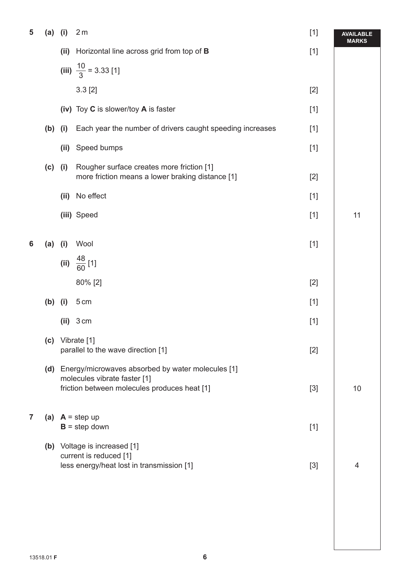| 5 | (a)       | (i)                                  | 2 <sub>m</sub>                                                                                      | $[1]$ | <b>AVAILABLE</b><br><b>MARKS</b> |
|---|-----------|--------------------------------------|-----------------------------------------------------------------------------------------------------|-------|----------------------------------|
|   |           | (ii)                                 | Horizontal line across grid from top of <b>B</b>                                                    | $[1]$ |                                  |
|   |           |                                      | (iii) $\frac{10}{3}$ = 3.33 [1]                                                                     |       |                                  |
|   |           |                                      | 3.3 [2]                                                                                             | $[2]$ |                                  |
|   |           |                                      | (iv) Toy C is slower/toy A is faster                                                                | $[1]$ |                                  |
|   | $(b)$ (i) |                                      | Each year the number of drivers caught speeding increases                                           | $[1]$ |                                  |
|   |           | (ii)                                 | Speed bumps                                                                                         | $[1]$ |                                  |
|   | $(c)$ (i) |                                      | Rougher surface creates more friction [1]<br>more friction means a lower braking distance [1]       | $[2]$ |                                  |
|   |           | (ii)                                 | No effect                                                                                           | $[1]$ |                                  |
|   |           |                                      | (iii) Speed                                                                                         | $[1]$ | 11                               |
| 6 | (a)       | (i)                                  | Wool                                                                                                | $[1]$ |                                  |
|   |           |                                      | (ii) $\frac{48}{60}$ [1]                                                                            |       |                                  |
|   |           |                                      | 80% [2]                                                                                             | $[2]$ |                                  |
|   | $(b)$ (i) |                                      | 5 cm                                                                                                | $[1]$ |                                  |
|   |           | (ii)                                 | 3 cm                                                                                                | $[1]$ |                                  |
|   |           |                                      | (c) Vibrate [1]<br>parallel to the wave direction [1]                                               | $[2]$ |                                  |
|   |           |                                      | (d) Energy/microwaves absorbed by water molecules [1]                                               |       |                                  |
|   |           |                                      | molecules vibrate faster [1]<br>friction between molecules produces heat [1]                        | $[3]$ | 10                               |
| 7 |           | (a) $A = step up$<br>$B = step down$ |                                                                                                     | $[1]$ |                                  |
|   |           |                                      | (b) Voltage is increased [1]<br>current is reduced [1]<br>less energy/heat lost in transmission [1] | $[3]$ | 4                                |
|   |           |                                      |                                                                                                     |       |                                  |
|   |           |                                      |                                                                                                     |       |                                  |
|   |           |                                      |                                                                                                     |       |                                  |